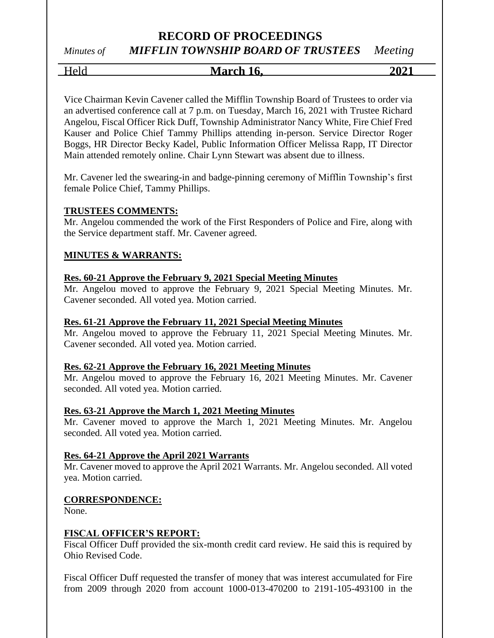### **RECORD OF PROCEEDINGS** *Minutes of MIFFLIN TOWNSHIP BOARD OF TRUSTEES Meeting*

Held **March 16, 2021**

Vice Chairman Kevin Cavener called the Mifflin Township Board of Trustees to order via an advertised conference call at 7 p.m. on Tuesday, March 16, 2021 with Trustee Richard Angelou, Fiscal Officer Rick Duff, Township Administrator Nancy White, Fire Chief Fred Kauser and Police Chief Tammy Phillips attending in-person. Service Director Roger Boggs, HR Director Becky Kadel, Public Information Officer Melissa Rapp, IT Director Main attended remotely online. Chair Lynn Stewart was absent due to illness.

Mr. Cavener led the swearing-in and badge-pinning ceremony of Mifflin Township's first female Police Chief, Tammy Phillips.

### **TRUSTEES COMMENTS:**

Mr. Angelou commended the work of the First Responders of Police and Fire, along with the Service department staff. Mr. Cavener agreed.

### **MINUTES & WARRANTS:**

### **Res. 60-21 Approve the February 9, 2021 Special Meeting Minutes**

Mr. Angelou moved to approve the February 9, 2021 Special Meeting Minutes. Mr. Cavener seconded. All voted yea. Motion carried.

### **Res. 61-21 Approve the February 11, 2021 Special Meeting Minutes**

Mr. Angelou moved to approve the February 11, 2021 Special Meeting Minutes. Mr. Cavener seconded. All voted yea. Motion carried.

### **Res. 62-21 Approve the February 16, 2021 Meeting Minutes**

Mr. Angelou moved to approve the February 16, 2021 Meeting Minutes. Mr. Cavener seconded. All voted yea. Motion carried.

### **Res. 63-21 Approve the March 1, 2021 Meeting Minutes**

Mr. Cavener moved to approve the March 1, 2021 Meeting Minutes. Mr. Angelou seconded. All voted yea. Motion carried.

### **Res. 64-21 Approve the April 2021 Warrants**

Mr. Cavener moved to approve the April 2021 Warrants. Mr. Angelou seconded. All voted yea. Motion carried.

### **CORRESPONDENCE:**

None.

### **FISCAL OFFICER'S REPORT:**

Fiscal Officer Duff provided the six-month credit card review. He said this is required by Ohio Revised Code.

Fiscal Officer Duff requested the transfer of money that was interest accumulated for Fire from 2009 through 2020 from account 1000-013-470200 to 2191-105-493100 in the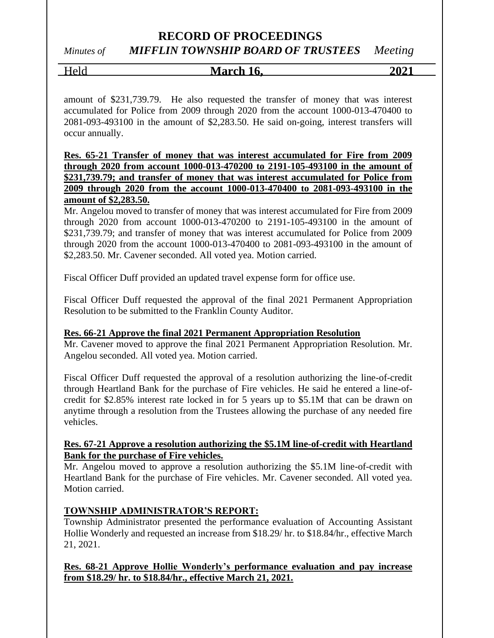### *Minutes of MIFFLIN TOWNSHIP BOARD OF TRUSTEES Meeting*

### Held **March 16, 2021**

amount of \$231,739.79. He also requested the transfer of money that was interest accumulated for Police from 2009 through 2020 from the account 1000-013-470400 to 2081-093-493100 in the amount of \$2,283.50. He said on-going, interest transfers will occur annually.

**Res. 65-21 Transfer of money that was interest accumulated for Fire from 2009 through 2020 from account 1000-013-470200 to 2191-105-493100 in the amount of \$231,739.79; and transfer of money that was interest accumulated for Police from 2009 through 2020 from the account 1000-013-470400 to 2081-093-493100 in the amount of \$2,283.50.**

Mr. Angelou moved to transfer of money that was interest accumulated for Fire from 2009 through 2020 from account 1000-013-470200 to 2191-105-493100 in the amount of \$231,739.79; and transfer of money that was interest accumulated for Police from 2009 through 2020 from the account 1000-013-470400 to 2081-093-493100 in the amount of \$2,283.50. Mr. Cavener seconded. All voted yea. Motion carried.

Fiscal Officer Duff provided an updated travel expense form for office use.

Fiscal Officer Duff requested the approval of the final 2021 Permanent Appropriation Resolution to be submitted to the Franklin County Auditor.

### **Res. 66-21 Approve the final 2021 Permanent Appropriation Resolution**

Mr. Cavener moved to approve the final 2021 Permanent Appropriation Resolution. Mr. Angelou seconded. All voted yea. Motion carried.

Fiscal Officer Duff requested the approval of a resolution authorizing the line-of-credit through Heartland Bank for the purchase of Fire vehicles. He said he entered a line-ofcredit for \$2.85% interest rate locked in for 5 years up to \$5.1M that can be drawn on anytime through a resolution from the Trustees allowing the purchase of any needed fire vehicles.

### **Res. 67-21 Approve a resolution authorizing the \$5.1M line-of-credit with Heartland Bank for the purchase of Fire vehicles.**

Mr. Angelou moved to approve a resolution authorizing the \$5.1M line-of-credit with Heartland Bank for the purchase of Fire vehicles. Mr. Cavener seconded. All voted yea. Motion carried.

### **TOWNSHIP ADMINISTRATOR'S REPORT:**

Township Administrator presented the performance evaluation of Accounting Assistant Hollie Wonderly and requested an increase from \$18.29/ hr. to \$18.84/hr., effective March 21, 2021.

### **Res. 68-21 Approve Hollie Wonderly's performance evaluation and pay increase from \$18.29/ hr. to \$18.84/hr., effective March 21, 2021.**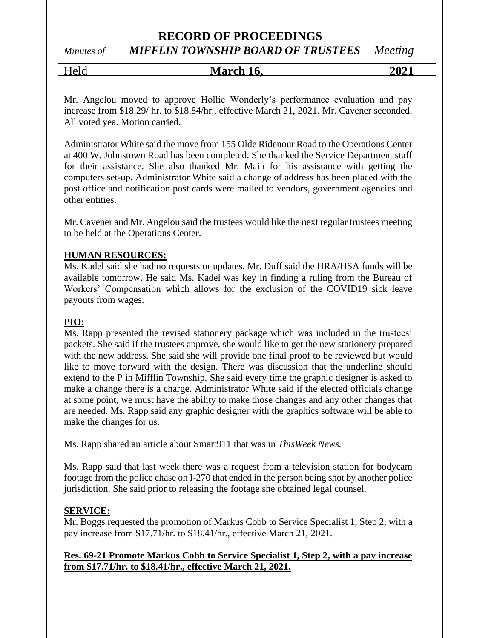*Minutes of MIFFLIN TOWNSHIP BOARD OF TRUSTEES Meeting*

Held **March 16, 2021**

Mr. Angelou moved to approve Hollie Wonderly's performance evaluation and pay increase from \$18.29/ hr. to \$18.84/hr., effective March 21, 2021. Mr. Cavener seconded. All voted yea. Motion carried.

Administrator White said the move from 155 Olde Ridenour Road to the Operations Center at 400 W. Johnstown Road has been completed. She thanked the Service Department staff for their assistance. She also thanked Mr. Main for his assistance with getting the computers set-up. Administrator White said a change of address has been placed with the post office and notification post cards were mailed to vendors, government agencies and other entities.

Mr. Cavener and Mr. Angelou said the trustees would like the next regular trustees meeting to be held at the Operations Center.

### **HUMAN RESOURCES:**

Ms. Kadel said she had no requests or updates. Mr. Duff said the HRA/HSA funds will be available tomorrow. He said Ms. Kadel was key in finding a ruling from the Bureau of Workers' Compensation which allows for the exclusion of the COVID19 sick leave payouts from wages.

### **PIO:**

Ms. Rapp presented the revised stationery package which was included in the trustees' packets. She said if the trustees approve, she would like to get the new stationery prepared with the new address. She said she will provide one final proof to be reviewed but would like to move forward with the design. There was discussion that the underline should extend to the P in Mifflin Township. She said every time the graphic designer is asked to make a change there is a charge. Administrator White said if the elected officials change at some point, we must have the ability to make those changes and any other changes that are needed. Ms. Rapp said any graphic designer with the graphics software will be able to make the changes for us.

Ms. Rapp shared an article about Smart911 that was in *ThisWeek News.*

Ms. Rapp said that last week there was a request from a television station for bodycam footage from the police chase on I-270 that ended in the person being shot by another police jurisdiction. She said prior to releasing the footage she obtained legal counsel.

### **SERVICE:**

Mr. Boggs requested the promotion of Markus Cobb to Service Specialist 1, Step 2, with a pay increase from \$17.71/hr. to \$18.41/hr., effective March 21, 2021.

### **Res. 69-21 Promote Markus Cobb to Service Specialist 1, Step 2, with a pay increase from \$17.71/hr. to \$18.41/hr., effective March 21, 2021.**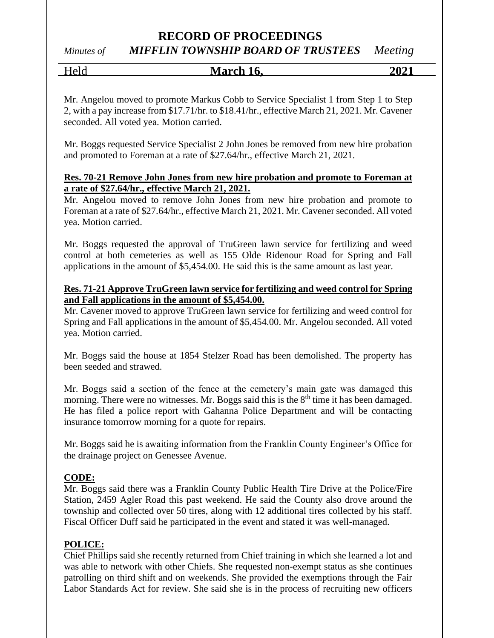*Minutes of MIFFLIN TOWNSHIP BOARD OF TRUSTEES Meeting*

| - -<br>- 71<br>----<br>LO.<br>ш<br>. | 70 |
|--------------------------------------|----|
|                                      |    |

Mr. Angelou moved to promote Markus Cobb to Service Specialist 1 from Step 1 to Step 2, with a pay increase from \$17.71/hr. to \$18.41/hr., effective March 21, 2021. Mr. Cavener seconded. All voted yea. Motion carried.

Mr. Boggs requested Service Specialist 2 John Jones be removed from new hire probation and promoted to Foreman at a rate of \$27.64/hr., effective March 21, 2021.

### **Res. 70-21 Remove John Jones from new hire probation and promote to Foreman at a rate of \$27.64/hr., effective March 21, 2021.**

Mr. Angelou moved to remove John Jones from new hire probation and promote to Foreman at a rate of \$27.64/hr., effective March 21, 2021. Mr. Cavener seconded. All voted yea. Motion carried.

Mr. Boggs requested the approval of TruGreen lawn service for fertilizing and weed control at both cemeteries as well as 155 Olde Ridenour Road for Spring and Fall applications in the amount of \$5,454.00. He said this is the same amount as last year.

### **Res. 71-21 Approve TruGreen lawn service for fertilizing and weed control for Spring and Fall applications in the amount of \$5,454.00.**

Mr. Cavener moved to approve TruGreen lawn service for fertilizing and weed control for Spring and Fall applications in the amount of \$5,454.00. Mr. Angelou seconded. All voted yea. Motion carried.

Mr. Boggs said the house at 1854 Stelzer Road has been demolished. The property has been seeded and strawed.

Mr. Boggs said a section of the fence at the cemetery's main gate was damaged this morning. There were no witnesses. Mr. Boggs said this is the  $8<sup>th</sup>$  time it has been damaged. He has filed a police report with Gahanna Police Department and will be contacting insurance tomorrow morning for a quote for repairs.

Mr. Boggs said he is awaiting information from the Franklin County Engineer's Office for the drainage project on Genessee Avenue.

### **CODE:**

Mr. Boggs said there was a Franklin County Public Health Tire Drive at the Police/Fire Station, 2459 Agler Road this past weekend. He said the County also drove around the township and collected over 50 tires, along with 12 additional tires collected by his staff. Fiscal Officer Duff said he participated in the event and stated it was well-managed.

### **POLICE:**

Chief Phillips said she recently returned from Chief training in which she learned a lot and was able to network with other Chiefs. She requested non-exempt status as she continues patrolling on third shift and on weekends. She provided the exemptions through the Fair Labor Standards Act for review. She said she is in the process of recruiting new officers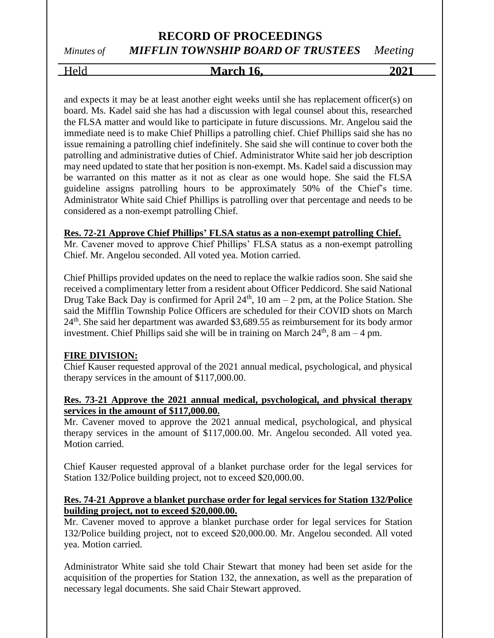### *Minutes of MIFFLIN TOWNSHIP BOARD OF TRUSTEES Meeting*

### Held **March 16, 2021**

and expects it may be at least another eight weeks until she has replacement officer(s) on board. Ms. Kadel said she has had a discussion with legal counsel about this, researched the FLSA matter and would like to participate in future discussions. Mr. Angelou said the immediate need is to make Chief Phillips a patrolling chief. Chief Phillips said she has no issue remaining a patrolling chief indefinitely. She said she will continue to cover both the patrolling and administrative duties of Chief. Administrator White said her job description may need updated to state that her position is non-exempt. Ms. Kadel said a discussion may be warranted on this matter as it not as clear as one would hope. She said the FLSA guideline assigns patrolling hours to be approximately 50% of the Chief's time. Administrator White said Chief Phillips is patrolling over that percentage and needs to be considered as a non-exempt patrolling Chief.

### **Res. 72-21 Approve Chief Phillips' FLSA status as a non-exempt patrolling Chief.**

Mr. Cavener moved to approve Chief Phillips' FLSA status as a non-exempt patrolling Chief. Mr. Angelou seconded. All voted yea. Motion carried.

Chief Phillips provided updates on the need to replace the walkie radios soon. She said she received a complimentary letter from a resident about Officer Peddicord. She said National Drug Take Back Day is confirmed for April  $24<sup>th</sup>$ , 10 am – 2 pm, at the Police Station. She said the Mifflin Township Police Officers are scheduled for their COVID shots on March  $24<sup>th</sup>$ . She said her department was awarded \$3,689.55 as reimbursement for its body armor investment. Chief Phillips said she will be in training on March  $24<sup>th</sup>$ , 8 am – 4 pm.

### **FIRE DIVISION:**

Chief Kauser requested approval of the 2021 annual medical, psychological, and physical therapy services in the amount of \$117,000.00.

### **Res. 73-21 Approve the 2021 annual medical, psychological, and physical therapy services in the amount of \$117,000.00.**

Mr. Cavener moved to approve the 2021 annual medical, psychological, and physical therapy services in the amount of \$117,000.00. Mr. Angelou seconded. All voted yea. Motion carried.

Chief Kauser requested approval of a blanket purchase order for the legal services for Station 132/Police building project, not to exceed \$20,000.00.

### **Res. 74-21 Approve a blanket purchase order for legal services for Station 132/Police building project, not to exceed \$20,000.00.**

Mr. Cavener moved to approve a blanket purchase order for legal services for Station 132/Police building project, not to exceed \$20,000.00. Mr. Angelou seconded. All voted yea. Motion carried.

Administrator White said she told Chair Stewart that money had been set aside for the acquisition of the properties for Station 132, the annexation, as well as the preparation of necessary legal documents. She said Chair Stewart approved.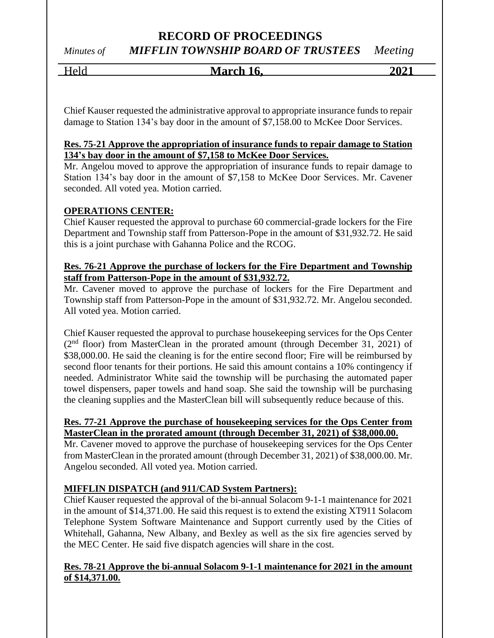### **RECORD OF PROCEEDINGS** *Minutes of MIFFLIN TOWNSHIP BOARD OF TRUSTEES Meeting*

### Held **March 16, 2021**

Chief Kauser requested the administrative approval to appropriate insurance funds to repair damage to Station 134's bay door in the amount of \$7,158.00 to McKee Door Services.

### **Res. 75-21 Approve the appropriation of insurance funds to repair damage to Station 134's bay door in the amount of \$7,158 to McKee Door Services.**

Mr. Angelou moved to approve the appropriation of insurance funds to repair damage to Station 134's bay door in the amount of \$7,158 to McKee Door Services. Mr. Cavener seconded. All voted yea. Motion carried.

### **OPERATIONS CENTER:**

Chief Kauser requested the approval to purchase 60 commercial-grade lockers for the Fire Department and Township staff from Patterson-Pope in the amount of \$31,932.72. He said this is a joint purchase with Gahanna Police and the RCOG.

### **Res. 76-21 Approve the purchase of lockers for the Fire Department and Township staff from Patterson-Pope in the amount of \$31,932.72.**

Mr. Cavener moved to approve the purchase of lockers for the Fire Department and Township staff from Patterson-Pope in the amount of \$31,932.72. Mr. Angelou seconded. All voted yea. Motion carried.

Chief Kauser requested the approval to purchase housekeeping services for the Ops Center (2<sup>nd</sup> floor) from MasterClean in the prorated amount (through December 31, 2021) of \$38,000.00. He said the cleaning is for the entire second floor; Fire will be reimbursed by second floor tenants for their portions. He said this amount contains a 10% contingency if needed. Administrator White said the township will be purchasing the automated paper towel dispensers, paper towels and hand soap. She said the township will be purchasing the cleaning supplies and the MasterClean bill will subsequently reduce because of this.

### **Res. 77-21 Approve the purchase of housekeeping services for the Ops Center from MasterClean in the prorated amount (through December 31, 2021) of \$38,000.00.**

Mr. Cavener moved to approve the purchase of housekeeping services for the Ops Center from MasterClean in the prorated amount (through December 31, 2021) of \$38,000.00. Mr. Angelou seconded. All voted yea. Motion carried.

### **MIFFLIN DISPATCH (and 911/CAD System Partners):**

Chief Kauser requested the approval of the bi-annual Solacom 9-1-1 maintenance for 2021 in the amount of \$14,371.00. He said this request is to extend the existing XT911 Solacom Telephone System Software Maintenance and Support currently used by the Cities of Whitehall, Gahanna, New Albany, and Bexley as well as the six fire agencies served by the MEC Center. He said five dispatch agencies will share in the cost.

### **Res. 78-21 Approve the bi-annual Solacom 9-1-1 maintenance for 2021 in the amount of \$14,371.00.**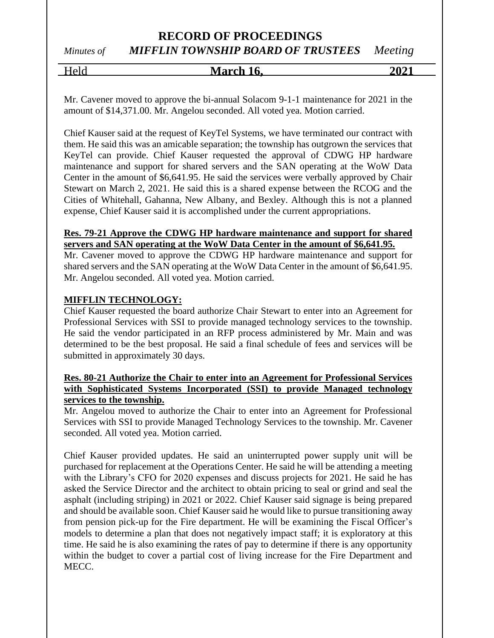### *Minutes of MIFFLIN TOWNSHIP BOARD OF TRUSTEES Meeting*

Held **March 16, 2021**

Mr. Cavener moved to approve the bi-annual Solacom 9-1-1 maintenance for 2021 in the amount of \$14,371.00. Mr. Angelou seconded. All voted yea. Motion carried.

Chief Kauser said at the request of KeyTel Systems, we have terminated our contract with them. He said this was an amicable separation; the township has outgrown the services that KeyTel can provide. Chief Kauser requested the approval of CDWG HP hardware maintenance and support for shared servers and the SAN operating at the WoW Data Center in the amount of \$6,641.95. He said the services were verbally approved by Chair Stewart on March 2, 2021. He said this is a shared expense between the RCOG and the Cities of Whitehall, Gahanna, New Albany, and Bexley. Although this is not a planned expense, Chief Kauser said it is accomplished under the current appropriations.

### **Res. 79-21 Approve the CDWG HP hardware maintenance and support for shared servers and SAN operating at the WoW Data Center in the amount of \$6,641.95.**

Mr. Cavener moved to approve the CDWG HP hardware maintenance and support for shared servers and the SAN operating at the WoW Data Center in the amount of \$6,641.95. Mr. Angelou seconded. All voted yea. Motion carried.

### **MIFFLIN TECHNOLOGY:**

Chief Kauser requested the board authorize Chair Stewart to enter into an Agreement for Professional Services with SSI to provide managed technology services to the township. He said the vendor participated in an RFP process administered by Mr. Main and was determined to be the best proposal. He said a final schedule of fees and services will be submitted in approximately 30 days.

### **Res. 80-21 Authorize the Chair to enter into an Agreement for Professional Services with Sophisticated Systems Incorporated (SSI) to provide Managed technology services to the township.**

Mr. Angelou moved to authorize the Chair to enter into an Agreement for Professional Services with SSI to provide Managed Technology Services to the township. Mr. Cavener seconded. All voted yea. Motion carried.

Chief Kauser provided updates. He said an uninterrupted power supply unit will be purchased for replacement at the Operations Center. He said he will be attending a meeting with the Library's CFO for 2020 expenses and discuss projects for 2021. He said he has asked the Service Director and the architect to obtain pricing to seal or grind and seal the asphalt (including striping) in 2021 or 2022. Chief Kauser said signage is being prepared and should be available soon. Chief Kauser said he would like to pursue transitioning away from pension pick-up for the Fire department. He will be examining the Fiscal Officer's models to determine a plan that does not negatively impact staff; it is exploratory at this time. He said he is also examining the rates of pay to determine if there is any opportunity within the budget to cover a partial cost of living increase for the Fire Department and MECC.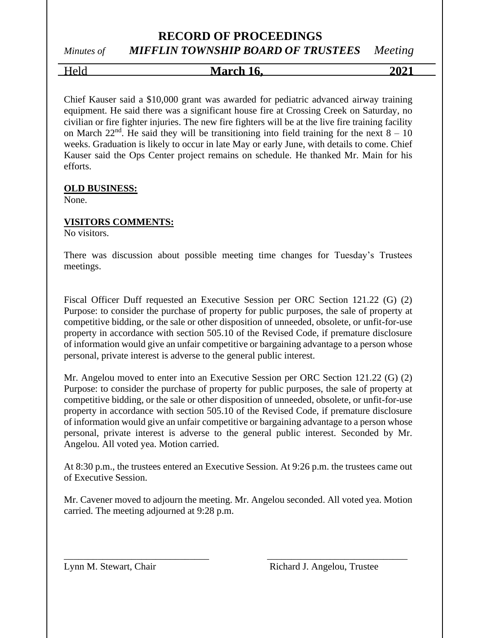# *Minutes of MIFFLIN TOWNSHIP BOARD OF TRUSTEES Meeting*

Held **March 16, 2021**

Chief Kauser said a \$10,000 grant was awarded for pediatric advanced airway training equipment. He said there was a significant house fire at Crossing Creek on Saturday, no civilian or fire fighter injuries. The new fire fighters will be at the live fire training facility on March  $22<sup>nd</sup>$ . He said they will be transitioning into field training for the next  $8 - 10$ weeks. Graduation is likely to occur in late May or early June, with details to come. Chief Kauser said the Ops Center project remains on schedule. He thanked Mr. Main for his efforts.

### **OLD BUSINESS:**

None.

### **VISITORS COMMENTS:**

No visitors.

There was discussion about possible meeting time changes for Tuesday's Trustees meetings.

Fiscal Officer Duff requested an Executive Session per ORC Section 121.22 (G) (2) Purpose: to consider the purchase of property for public purposes, the sale of property at competitive bidding, or the sale or other disposition of unneeded, obsolete, or unfit-for-use property in accordance with section 505.10 of the Revised Code, if premature disclosure of information would give an unfair competitive or bargaining advantage to a person whose personal, private interest is adverse to the general public interest.

Mr. Angelou moved to enter into an Executive Session per ORC Section 121.22 (G) (2) Purpose: to consider the purchase of property for public purposes, the sale of property at competitive bidding, or the sale or other disposition of unneeded, obsolete, or unfit-for-use property in accordance with section 505.10 of the Revised Code, if premature disclosure of information would give an unfair competitive or bargaining advantage to a person whose personal, private interest is adverse to the general public interest. Seconded by Mr. Angelou. All voted yea. Motion carried.

At 8:30 p.m., the trustees entered an Executive Session. At 9:26 p.m. the trustees came out of Executive Session.

Mr. Cavener moved to adjourn the meeting. Mr. Angelou seconded. All voted yea. Motion carried. The meeting adjourned at 9:28 p.m.

\_\_\_\_\_\_\_\_\_\_\_\_\_\_\_\_\_\_\_\_\_\_\_\_\_\_\_\_\_\_ \_\_\_\_\_\_\_\_\_\_\_\_\_\_\_\_\_\_\_\_\_\_\_\_\_\_\_\_\_